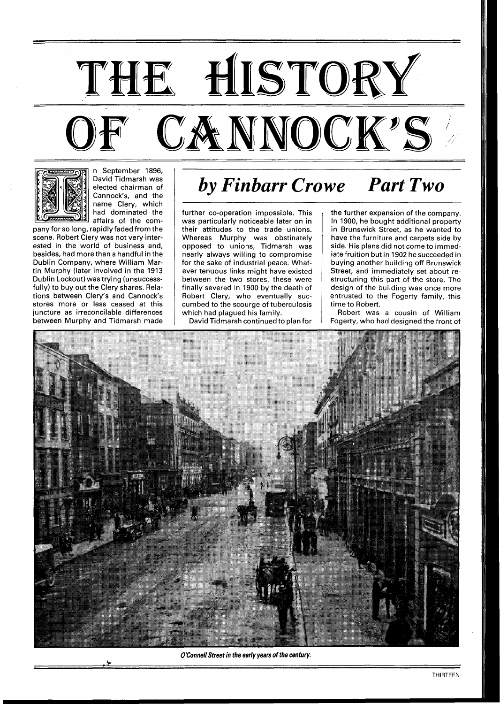



n September 1896, David Tidmarsh was elected chairman of Cannock's, and the name Clery, which had dominated the affairs of the com-

pany for so long, rapidly faded from the scene. Robert Clery was not very interested in the world of business and, besides, had more than a handful in the Dublin Company, where William Martin Murphy (later involved in the 1913 Dublin Lockout) was trying (unsuccessfully) to buy out the Clery shares. Relations between Clery's and Cannock's stores more or less ceased at this juncture as irreconcilable differences between Murphy and Tidmarsh made

## *by Finbarr Crowe Part Two*

further co-operation impossible. This was particularly noticeable later on in their attitudes to the trade unions. Whereas Murphy was obstinately opposed to unions, Tidmarsh was nearly always willing to compromise for the sake of industrial peace. Whatever tenuous links might have existed between the two stores, these were finally severed in 1900 by the death of Robert Clery, who eventually succumbed to the scourge of tuberculosis which had plagued his family.

David Tidrnarsh continued to plan for

the further expansion of the company. In 1900, he bought additional property in Brunswick Street, as he wanted to have the furniture and carpets side by side. His plans did not come to immediate fruition but in 1902 he succeeded in buying another building off Brunswick Street, and immediately set about restructuring this part of the store. The design of the building was once more entrusted to the Fogerty family, this time to Robert.

Robert was a cousin of William Fogerty, who had designed the front of



**<sup>O</sup>'ConnellStreet in the early years of the century.** ,. **,g**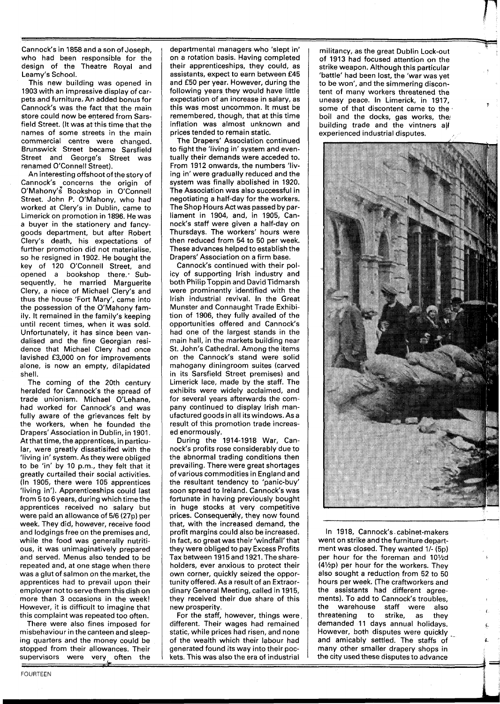Cannock's in 1858 and a son of Joseph, who had been responsible for the design of the Theatre Royal and Leamy's School.

This new building was opened in 1903 with an impressive display of carpets and furniture. An added bonus for Cannock's was the fact that the main store could now be entered from Sarsfield Street. (It was at this time that the names of some streets in the main commercial centre were changed. Brunswick Street became Sarsfield Street and George's Street was renamed O'Connell Street).

An interesting offshoot of the story of Cannock's concerns the origin of O'Mahony's Bookshop in O'Connell Street. John P. O'Mahony, who had worked at Clery's in Dublin, came to Limerick on promotion in 1896. He was a buyer in the stationery and fancygoods department, but after Robert Clery's death, his expectations of further promotion did not materialise, so he resigned in 1902. He bought the key of 120 O'Connell Street, and opened a bookshop there: Subsequently, he married Marguerite Clery, a niece of Michael Clery's and thus the house 'Fort Mary', came into the possession of the O'Mahony family. It remained in the family's keeping until recent times, when it was sold. Unfortunately, it has since been vandalised and the fine Georgian residence that Michael Clery had once lavished £3,000 on for improvements alone, is now an empty, dilapidated shell.

The coming of the 20th century heralded for Cannock's the spread of trade unionism. Michael O'Lehane, had worked for Cannock's and was fully aware of the grievances felt by the workers, when he founded the Drapers' Association in Dublin, in 1901. At that time, the apprentices, in particular, were greatly dissatisifed with the 'living in' system. As they were obliged to be 'in' by 10 p.m., they felt that it greatly curtailed their social activities. (In 1905, there were 105 apprentices 'living in'). Apprenticeships could last from 5 to 6 years, during which time the apprentices received no salary but were paid an allowance of 516 (27p) per week. They did, however, receive food and lodgings free on the premises and, while the food was generally nutritious, it was unimaginatively prepared and served. Menus also tended to be repeated and, at one stage when there was a glut of salmon on the market, the apprentices had to prevail upon their employer not to serve them this dish on more than 3 occasions in the week! However, it is difficult to imagine that this complaint was repeated too often.

There were also fines imposed for misbehaviour in the canteen and sleeping quarters and the money could be stopped from their allowances. Their supervisors were very often the departmental managers who 'slept in' on a rotation basis. Having completed their apprenticeships, they could, as assistants, expect to earn between £45 and £50 per year. However, during the following years they would have little expectation of an increase in salary, as this was most uncommon. It must be remembered, though, that at this time inflation was almost unknown and prices tended to remain static.

The Drapers' Association continued to fight the 'living in' system and eventually their demands were acceded to. From 1912 onwards, the numbers 'living in' were gradually reduced and the system was finally abolished in 1920. The Association was also successful in negotiating a half-day for the workers. The Shop Hours Actwas passed by parliament in 1904, and, in 1905, Cannock's staff were given a half-day on Thursdays. The workers' hours were then reduced from 54 to 50 per week. These advances helped to establish the Drapers' Association on a firm base.

Cannock's continued with their policy of supporting lrish industry and both Philip Toppin and David Tidmarsh were prominently identified with the lrish industrial revival. In the Great Munster and Connaught Trade Exhibition of 1906, they fully availed of the opportunities offered and Cannock's had one of the largest stands in the main hall, in the markets building near St. John's Cathedral. Among the items on the Cannock's stand were solid mahogany diningroom suites (carved in its Sarsfield Street premises) and Limerick lace, made by the staff. The exhibits were widely acclaimed, and for several years afterwards the company continued to display lrish manufactured goods in all its windows. As a result of this promotion trade increased enormously.

During the 1914-1918 War, Cannock's profits rose considerably due to the abnormal trading conditions then prevailing. There were great shortages of various commodities in England and the resultant tendency to 'panic-buy' soon spread to Ireland. Cannock's was fortunate in having previously bought in huge stocks at very competitive prices. Consequently, they now found that, with the increased demand, the profit margins could also be increased. In fact, so great was their 'windfall'that they were obliged to pay Excess Profits Tax between 1915 and 1921. Theshareholders, ever anxious to protect their own corner, quickly seized the opportunity offered. As a result of an Extraordinary General Meeting, called in 1915, they received their due share of this new prosperity.

For the staff, however, things were, different. Their wages had remained static, while prices had risen, and none of the wealth which their labour had generated found its way into their pockets. This was also the era of industrial

FOURTEEN

militancy, as the great Dublin Lock-out of 1913 had focused attention on the strike weapon. Although this particular 'battle' had been lost, the 'war was yet to be won', and the simmering discontent of many workers threatened the uneasy peace. In Limerick, in 1917, some of that discontent came to the. boil and the docks, gas works, the building trade and the vintners all experienced industrial disputes.



In 1918, Cannock's cabinet-makers went on strike and the furniture department was closed. They wanted 1/- (5p) per hour for the foreman and 10<sup>1</sup>/<sub>2</sub>d  $(4\frac{1}{2}p)$  per hour for the workers. They also sought a reduction from 52 to 50 hours per week. (The craftworkers and the assistants had different agreements). To add to Cannock's troubles, the warehouse staff were also threatening to strike, as they demanded 11 days annual holidays. **<sup>C</sup>** However, both disputes were quickly and amicably settled. The staffs of many other smaller drapery shops in the city used these disputes to advance

> J *b*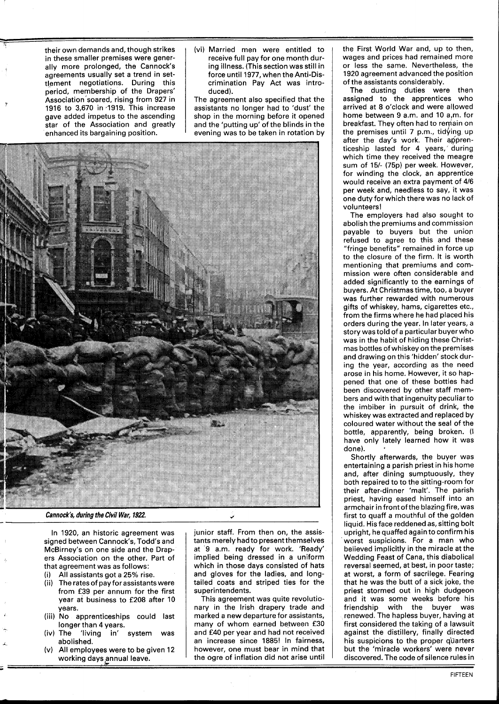their own demands and, though strikes in these smaller premises were generally more prolonged, the Cannock's agreements usually set a trend in settlement negotiations. During this period, membership of the Drapers' Association soared, rising from **927** in **1916** to **3,670** in **-1919.** This increase gave added impetus to the ascending star of the Association and greatly enhanced its bargaining position.

(vi) Married men were entitled to receive full pay for one month during illness. (This section was still in force until **1977,** when the Anti-Discrimination Pay Act was introduced).

The agreement also specified that the assistants no longer had to 'dust' the shop in the morning before it opened and the 'putting up' of the blinds in the evening was to be taken in rotation by



**Cannock's, during the Civil War, 1922.** 

In **1920,** an historic agreement was signed between Cannock's, Todd's and McBirney's on one side and the Drap ers Association on the other. Part of that agreement was as follows:

(i) All assistants got a **25%** rise.

**A** 

- The rates of pay for assistants were from **£39** per annum for the first year at business to **£208** after **10**  years.<br>(iii) No apprenticeships could last
- longer than **4** years.
- (iv) The 'living in' system was abolished.
- (V) All employees were to be given **12**  working days annual leave.

junior staff. From then on, the assistants merely had to present themselves at **'9** a.m. ready for work. 'Ready' implied being dressed in a uniform which in those days consisted of hats and gloves for the ladies, and longtailed coats and striped ties for the superintendents.

This agreement was quite revolutionary in the Irish drapery trade and marked a new departure for assistants, many of whom earned between **£30**  and **E40** per year and had not received an increase since **1885!** In fairness, however, one must bear in mind that g days annual leave.  $\qquad \qquad \vdots$  the ogre of inflation did not arise until  $\qquad \qquad$  discovered. The code of silence rules in

the First World War and, up to then, wages and prices had remained more or less the same. Nevertheless, the **1920** agreement advanced the position of the assistants considerably.

The dusting duties were then assigned to the apprentices who arrived at **8** o'clock and were allowed home between 9 a.m. and 10 a,m. for breakfast. They often had to remain on the premises until 7 p.m., tidying up after the day's work. Their apprenticeship lasted for **4** years,' during which time they received the meagre sum of **151-** (75p) per week. However, for winding the clock, an apprentice would receive an extra payment of **416**  per week and, needless to say, it was one duty forwhich there was no lack of volunteers!

The employers had also sought to abolish the premiums and commission payable to buyers but the union refused to agree to this and these "fringe benefits" remained in force up to the closure of the firm. It is worth mentioning that premiums and commission were often considerable and added significantly to the earnings of buyers. At Christmas time, too, a buyer was further rewarded with numerous gifts of whiskey, hams, cigarettes etc., from the firms where he had placed his orders during the year. In later years, a story was told of a particular buyerwho was in the habit of hiding these Christmas bottles of whiskey on the premises and drawing on this 'hidden' stock during the year, according as the need arose in his home. However, it so happened that one of these bottles had been discovered by other staff members and with that ingenuity peculiarto the imbiber in pursuit of drink, the whiskey was extracted and replaced by coloured water without the seal of the bottle, apparently, being broken. (I have only lately learned how it was done). .<br>Shortly afterwards, the buyer was

entertaining a parish priest in his home and, after dining sumptuously, they both repaired to to the sitting-room for their after-dinner 'malt'. The parish priest, having eased himself into an armchair in front of the blazing fire, was first to quaff a mouthful of the golden liquid. His face reddened as, sitting bolt upright, he quaffed again to confirm his worst suspicions. For a man who believed implicitly in the miracle at the Wedding Feast of Cana, this diabolical reversal seemed, at best, in poor taste; at worst, a form of sacrilege. Fearing that he was the butt of a sick joke, the priest stormed out in high dudgeon and it was some weeks before his friendship with the buyer was renewed. The hapless buyer, having at first considered the taking of a lawsuit against the distillery, finally directed his suspicions to the proper quarters but the 'miracle workers' were never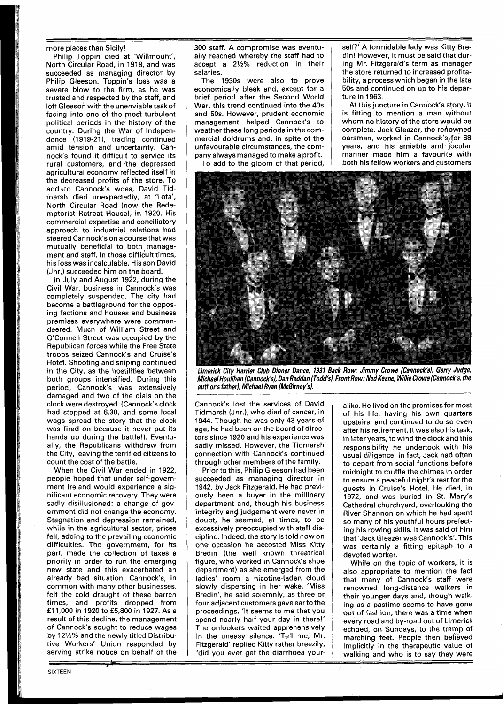more places than Sicily!

Philip Toppin died at 'Willmount', North Circular Road, in 1918, and was succeeded as managing director by Philip Gleeson. Toppin's loss was a severe blow to the firm, as he was trusted and respected by the staff, and left Gleeson with the unenviable taskof facing into one of the most turbulent political periods in the history of the country. During the War of Independence (1919-21), trading continued amid tension and uncertainty. Cannock's found it difficult to service its rural customers, and the depressed agricultural economy reflected itself in the decreased profits gf the store. To add \*to Cannock's woes, David Tidmarsh died unexpectedly, at 'Lota', North Circular Road (now the Redemptorist Retreat House), in 1920. His commercial expertise and conciliatory approach to industrial relations had steered Cannock's on a course that was mutually beneficial to both management and staff. In those difficult times, his loss was incalculable. His son David (Jnr,) succeeded him on the board.

In July and August 1922, during the Civil War, business in Cannock's was completely suspended. The city had become a battleground for the opposing factions and houses and business premises everywhere were commandeered. Much of William Street and O'Connell Street was occupied by the Republican forces while the Free State troops seized Cannock's and Cruise's Hotel. Shooting and sniping continued in the City, as the hostilities between both groups intensified. During this period, Cannock's was extensively damaged and two of the dials on the clock were destroyed. (Cannock's clock had stopped at 6.30, and some local wags spread the story that the clock was fired on because it never put its hands up during the battle!). Eventually, the Republicans withdrew from the City, leaving the terrified citizens to count the cost of the battle.

When the Civil War ended in 1922, people hoped that under self-government Ireland would experience a significant economic recovery. They were sadly disillusioned: a change of government did not change the economy. Stagnation and depression remained, while in the agricultural sector, prices fell, adding to the prevailing economic difficulties. The government, for its part, made the collection of taxes a priority in order to run the emerging new state and this exacerbated an already bad situation. Cannock's, in common with many other businesses, felt the cold draught of these barren times, and profits dropped from **f** 1 1,000 in 1920 to **f** 5,800 in 1927. As a result of this decline, the management of Cannock's sought to reduce wages by 121/2% and the newly titled Distributive Workers' Union responded by serving strike notice on behalf of the 300 staff. A compromise was eventually reached whereby the staff had to accept a 2Y2% reduction in their salaries.

The 1930s were also to prove economically bleak and, except for a brief period after the Second World War, this trend continued into the 40s and 50s. However, prudent economic management helped Cannock's to weather these long periods in the commercial doldrums and, in spite of the unfavourable circumstances, the company always managed to make a profit.

To add to the gloom of that period,

self?' A formidable lady was Kitty Bredin! However, it must be said that during Mr. Fitzgerald's term as manager the store returned to increased profitability, a process which began in the late 50s and continued on up to his departure in 1963.

At this juncture in Cannock's story, it is fitting to mention a man without whom no history of the store would be complete. Jack Gleazer, the renowned oarsman, worked in Cannock's,,fdr **68**  years, and his amiable and jocular manner made him a favourite with both his fellow workers and customers



**Limerick City Harrier Club Dinner Dance, 1931 Back Row: Jimmy Crowe (Cannock'sl, Gerry Judge,**  Michael Houlihan (Cannock's), Dan Reddan (Todd's). Front Row: Ned Keane, Willie Crowe (Cannock's, the author's father), Michael Ryan (McBirney's).

Cannock's lost the services of David Tidmarsh (Jnr.), who died of cancer, in 1944. Though he was only 43 years of age, he had been on the board of directors since 1920 and his experience was sadly missed. However, the Tidmarsh connection with Cannock's continued through other members of the family.

Prior to this, Philip Gleeson had been succeeded as managing director in 1942, by Jack Fitzgerald. He had previously been a buyer in the millinery department and, though his business integrity and judgement were never in doubt, he seemed, at times, to be excessively preoccupied with staff discipline. Indeed, the story is told how on one occasion he accosted Miss Kitty Bredin (the well known threatrical figure, who worked in Cannock's shoe department) as she emerged from the ladies' room a nicotine-laden cloud slowly dispersing in her wake. 'Miss Bredin', he said solemnly, as three or four adjacent customers gave earto the proceedings, 'It seems to me that you spend nearly half your day in there!' The onlookers waited apprehensively in the uneasy silence. 'Tell me, Mr. Fitzgerald' replied Kitty rather breezily, 'did you ever get the diarrhoea youralike. He lived on the premisesfor most of his life, having his own quarters upstairs, and continued to do so even after his retirement. It was also his task, in later years, to wind the clock and this responsibility he undertook with his usual diligence. In fact, Jack had often to depart from social functions before midnight to muffle the chimes in order to ensure a peaceful night's rest for the guests in Cruise's Hotel. He died, in 1972, and was buried in St. Mary's Cathedral churchyard, overlooking the River Shannon on which he had spent so many of his youthful hours prefecting his rowing skills. It was said of him that 'Jack Gleazer was Cannock's'. This was certainly a fitting epitaph to a devoted worker.

While on the topic of workers, it is also appropriate to mention the fact that many of Cannock's staff were renowned long-distance walkers in their younger days and, though walking as a pastime seems to have gone out of fashion, there was a time when every road and by-road out of Limerick echoed, on Sundays, to the tramp of marching feet. People then believed implicitly in the therapeutic value of walking and who is to say they were